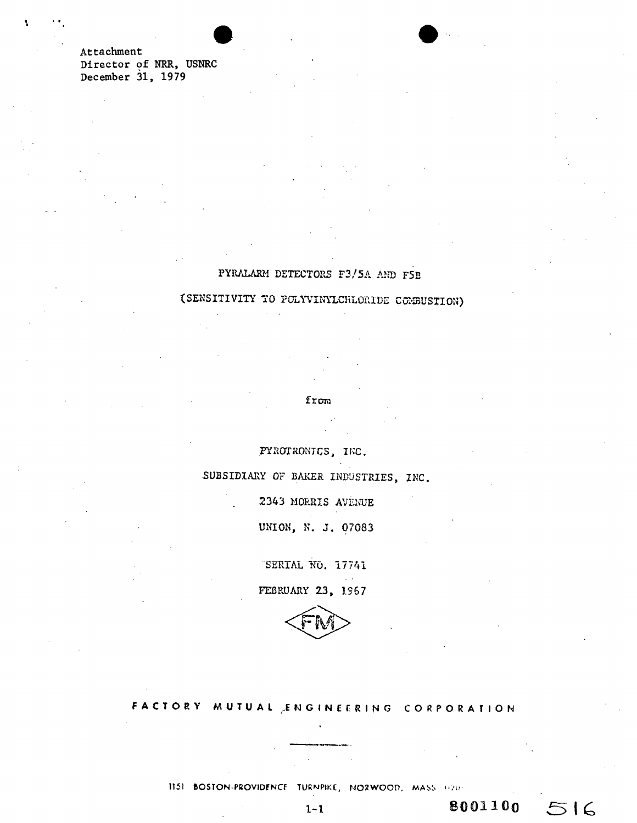Attachment Director of NRR, **USNRC**  December 31, **1979** 

### PYRALAR4 DETECTORS **F3/5A AND** F5B

(SENSITIVITY TO POLYVINYLCHLORIDE COMBUSTION)

**f** r=~

FYROTRONICS, INC.

SUBSIDIARY OF BAKER INDUSTRIES, **INC.** 

2343 MORRiS AVENUE

**UNION,** *N.* **J. 07083** 

SERIAL NO. 17741

FEBRUARY **23, 1967** 



**FACTORY MUTUAL EN GINEERING CORPORATION** 

**<sup>1151</sup>80STON-PROVIDENCF TURNPIKE, NOWOOD, MAb,** .

l-1 **8001100**

 $516$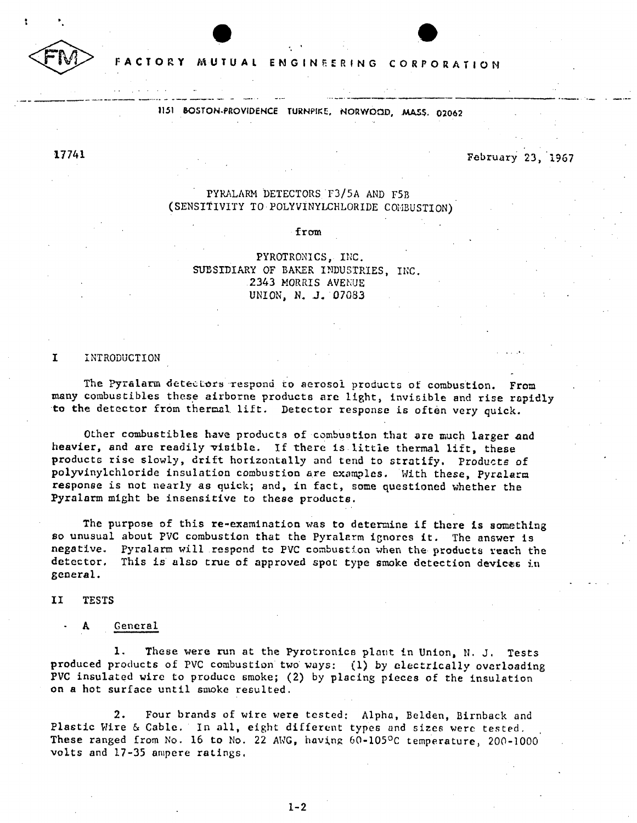

**FACTORY MUTUAL ENGINEERING CORPORATION** 

**1151 BOSTON-PROVIDENCE TURNPIKE, NORWOOD, MASS. 02062** 

## **17741** February **23, 1967**

### PYRALARM **DETECTORS F3/5A AND** F5B **(SENSITIVITY** TO POLYVINYLCHLORIDE COIMBUSTION)

from

PYROTRONICS, **INC. SUBSIDIARY** OF BAKER **INDUSTRIES,** INC. 2343 MORRIS AVENUE *UNION, N.* **J.** *07083* 

#### **I** INTRODUCTION

The Pyralarm detectors respond to aerosol products of combustion. From many combustibles these airborne products are light, invisible and rise rapidly to the detector from thermal lift. Detector response is often very quick.

Other combustibles have products of combustion that are much larger and heavier, and are readily visible. **If** there is little thermal lift, these products rise slowly, drift horizontally and tend to stratify. Products of polyvinylchloride insulation combustion are examples. With these, *Pyralarm*  response is not nearly as quick; and, in fact, some questioned whether the Pyralarm might be insensitive to these products.

The purpose of this re-examination was to determine if there is something so unusual about PVC combustion that the Pyralarm ignores it. The answer is negative. Pyralarm will respond to PVC combustion when the products reach the detector. This is also true of approved spot type smoke detection devices in general.

II **TESTS** 

#### General

**1.** These were run at the Pyrotronics plant in Union, **N.** *J.* Tests produced products of PVC combustion two ways: **(1) by** electrically overloading PVC insulated wire to produce smoke; (2) **by** placing pieces of the insulation on **a** hot surface until smoke resulted.

2. Four brands of wire were tested: Alpha, Belden, Birnback and Plastic Wire **&** Cable. In all, eight different types and sizes were tested. These ranged from No. 16 to No. 22 ANG, having 60-105°C temperature, 200-1000 volts and **17-35** ampere ratings.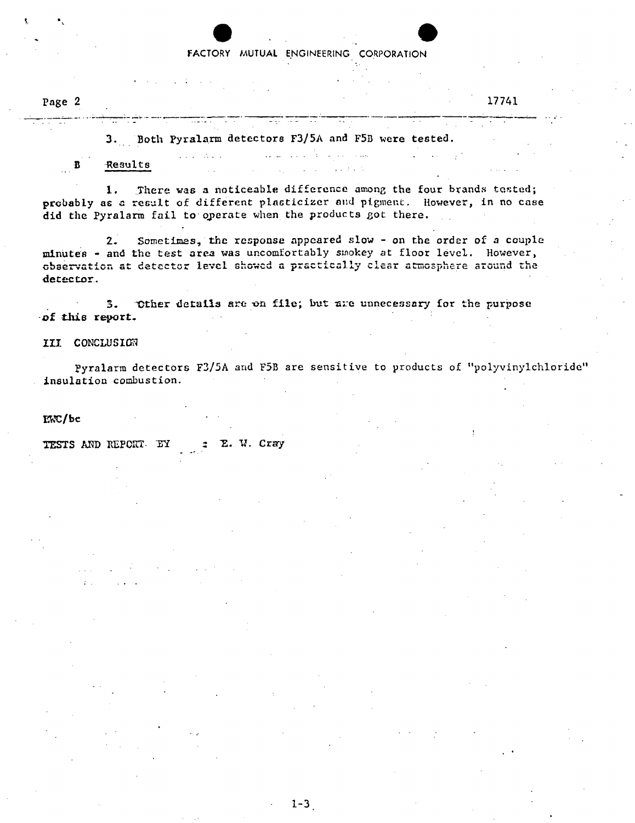#### FACTORY MUTUAL ENGINEERING CORPORATION

\* **. .** 4

 $\sim$ 

Page 2

#### **17741**

**3.** Both Pyralarm detectors **F3/5A** and F5B were tested.  $\mathbf{1} \mathbf{1} \mathbf{1}$ 

in in wind

B Results

**1.** There was a noticeable difference among the four brands tested; probably as a result of different plasticizer and pigment. However, in no case did the Pyralarm fail to operate when the products got there.

2. Sometimes, the response appeared slow **-** on the order of a couple minutes **-** and the test area was uncomfortably smokey at floor level. However, observation at detector **levotl** showed a practically clear atmosphere around the detector.

3. Other details are on file; but are unnecessary for the purpose of this report.

**III CONCLUSION** 

Pyralarm detectors **F3/5A** and F5B are sensitive to products of "polyvinylchloride" insulation combustion.

LWC/bt

TESTS AND REPORT. EY = E. W. Cray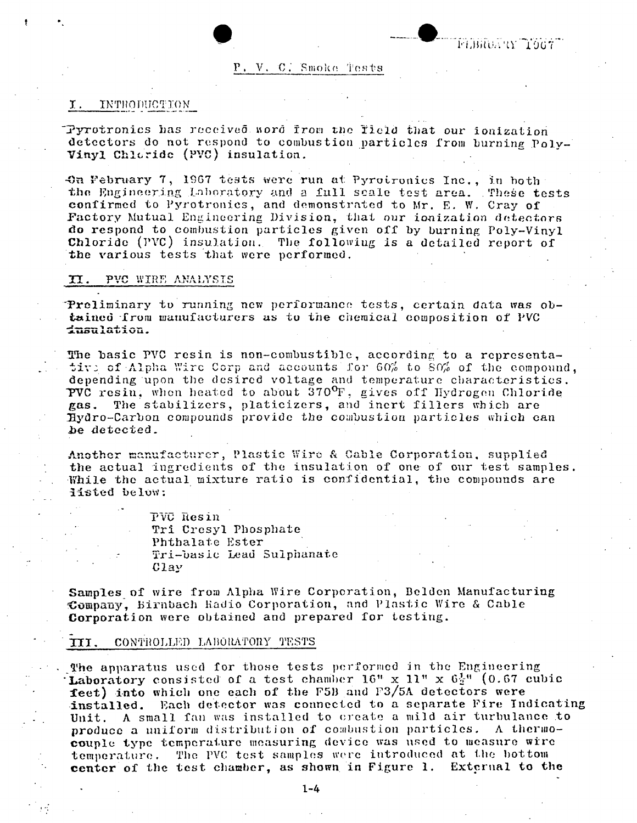#### **P. V. C. Smoke Tests**

#### I. INTHODUCTION

Idyrotronics has received Lsord from **too** Tield that our ionization detectors do not respond to combustion particles from burning Poly-Vinyl Chloride (PVC) insulation.

4.0n February **7, 1967** tests were run at Pyrotronics Inc., in both the Engineering Laboratory and a full scale test area. These tests confirmed to Pyrotronics, and demonstrated to Mr. **E.** W. Cray of Factory Mutual Engineering Division, that our ionization detectors do respond to combustion particles given off **by** burning Poly-Vinyl Chloride (PVC) insulation. The following is a detailed report of the various tests that were performed.

#### **II.** PVC WIRE ANALYSIS

"Preliminary to running new performance tests, certain data was ob tained from manufacturers as to the chemical composition of PVC dustains.

**The basic PVC resin is non-combustible, according to a representa-<br>tive of <b>Alpha Wire Corp and accounts** for 60% to 80% of the compound, depending upon *the* desired voltage and temperature characteristics. 7VC resin, whon heated to abouL *3700 F,* gives off Hydrogen Chloride gas. The stabilizers, platicizers, and inert fillers which are Iydro-Carbon compounds provide the combustion particles which can be detected.

Another manufacturer, Plastic Wire & Cable Corporation, supplied the actual ingredients of the insulation of one of our test samples. While the actual mixture ratio is confidential, the compounds are iisted below:

> PVC Resin Tri Cresyl Phosphate Phthalatc Ester - Tri-basic Lead Sulphanate Clay

Samples of wire from Alpha Wire Corporation, Belden Manufacturing Company, Birnbach Radio Corporation, and Plastic Wire **& Cable**  Corporation were obtained and prepared for testing.

#### **IT.** CONT'HOLLED LAlBORATORY **TESTS**

The apparatus used for those tests performed in the Engineering Laboratory consisted of a test chamber  $16" \times 11" \times 6\frac{1}{2}"$  (0.67 cubic **feet) into which one each of the F5B and F3/5A detectors were installed. Each detector was connected to a separate Fire Ine** Each detector was connected to a separate Fire Indicating Unit. **A** small fan was installed to create a mild air turbulance to produce a uniform distribution of combustion particles. A thermo**couple** type temperature measuring device was used to measure wire temperature. The PVC test samples were introduced at **the** hottom **center** of the test chamber, as shown in Figure **1.** Extcrnal **to the**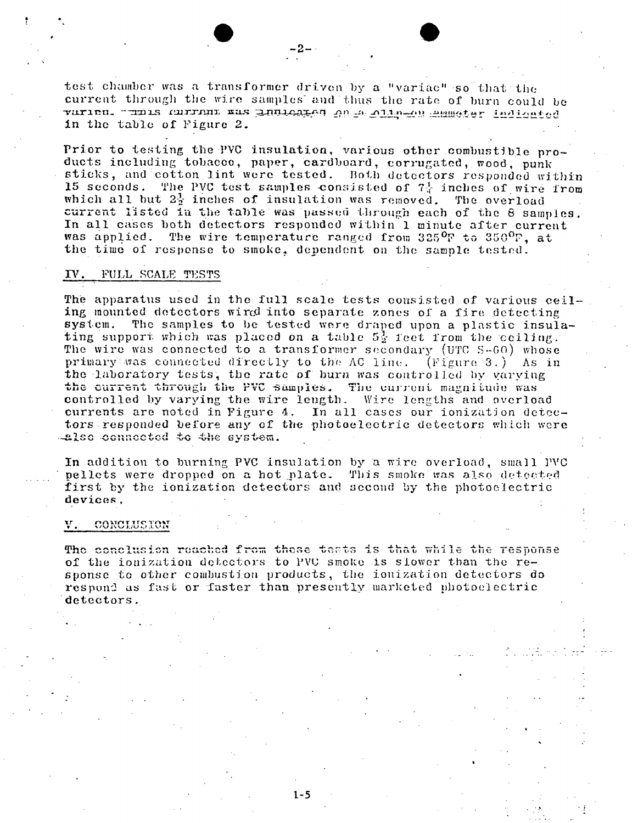test chamber was **a** transformer driven **by** a "variac" so that the current through the wire samples and thus the rate of burn could be  $\gamma$ urien. **1111 IS AUTRUL EUS ANLOAIGH AN IN ALLE-AN ANNOICT IN IQLACT .** In the table **of** Figure 2.

- 2.

Prior to testing the PVC insulation, various other combustible products including tobacco, paper, cardboard, corrugated, wood, punk sticks, and cotton lint were tested. Both detectors responded within **<sup>15</sup>**seconds. The **PVC** test samples -consisted of **7-1-** inches of wire from which all but  $2\frac{1}{2}$  inches of insulation was removed. The overload current listed in the table was passed through each of the 8 samples. In. all cases both detectors responded within 1 minute after current was applied. The wire temperature ranged from 325 $^{\text{O}}$ F to 350 $^{\text{O}}$ F, at the time of response to smoke, dependent on the sample tested.

#### T. **FULL SCALE TESTS**

The apparatus used in the full, scale tests consisted of *various* ceil ing mounted detectors wird into separate zones of a fire detecting system. The samples to **be** tested were draped upon a plastic insula ting support which was placed on a table  $5\frac{1}{2}$  feet from the ceiling. The wire was connected to a transformer secondary (UTC S-60) whose primary was connected directly to the **AC** line. (Figure *3.)* As in the laboratory tests, the rate of burn was controlled by varying the current through the PVC samples. The current magnitude was controlled **by** varying the wire length . Wire lengths and overload currents are noted in Figure 4. In all cases our ionization detec tors responded before any **of** the photoelectric detectors which wore

In addition to burning PVC insulation by a wire overload, small **PVC**  pellets were dropped on a hot plate. This smoke was also detected first **by** the ionization detectors and second **by** the photoc lectric devices,

#### $V.$  CONCLUSION

**The conclusion reached from these tests is that while the response** of the ionization detectors to PVU smoke is slower than the re sponse to other combustion products, the ionization detectors do respond as fast or faster than presently marketed photoelectric detectors.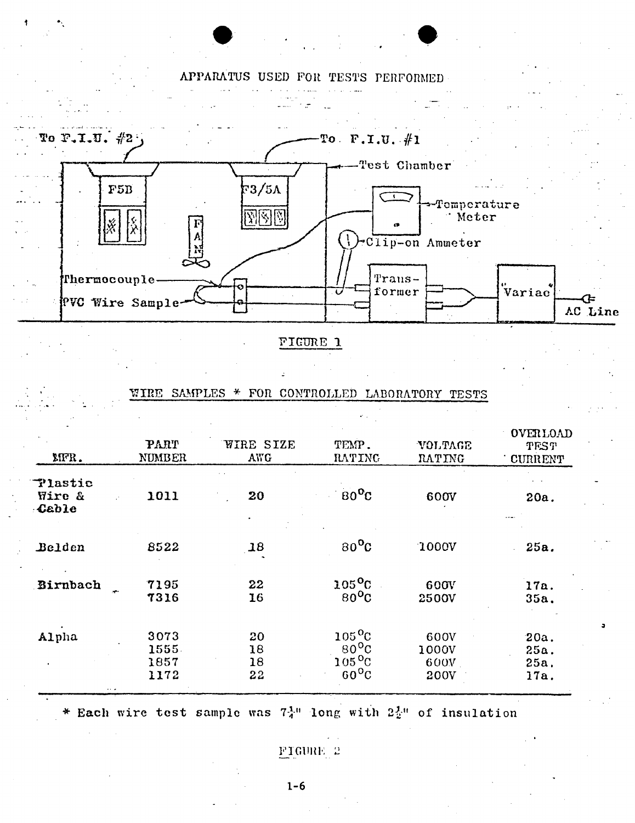# **APPARATUS USED** FOR **TESTS** PERFORMED

**I**



FTGURE 1

|                            |                               |                      | $\sigma^2 \sim 1$                                                      |                               |                                           |
|----------------------------|-------------------------------|----------------------|------------------------------------------------------------------------|-------------------------------|-------------------------------------------|
| MFR.                       | PART<br>NUMBER                | WIRE SIZE<br>AWG     | TEMP.<br><b>RATING</b>                                                 | VOLTAGE<br>RATING             | OVERLOAD<br><b>TEST</b><br><b>CURRENT</b> |
| Tlastic<br>Wire &<br>Cable | 1011                          | 20                   | $80^{\circ}$ C                                                         | 600V                          | 20a.                                      |
| Belden                     | 8522                          | 18                   | $80^{\circ}$ C                                                         | 1000V                         | 25a.                                      |
| Birnbach<br>÷              | 7195<br>7316                  | 22<br>16             | $105$ <sup>o</sup> C<br>$80^{\circ}$ C                                 | 600V<br>2500V                 | 17a.<br>35a.                              |
| Alpha                      | 3073<br>1555.<br>1857<br>1172 | 20<br>18<br>18<br>22 | $105^{\circ}$ C<br>$80^{\circ}$ C<br>$105^{\circ}$ C<br>$60^{\circ}$ C | 600V<br>1000V<br>600V<br>200V | 20a.<br>25a.<br>25a.<br>17a.              |

### TIRE **SAMPLES \*** FOR CONTROLLED LABORATORY **TESTS**

**\*** Each wire test sample was **7-1-"** long with 2i" of insulation

PTGURE 2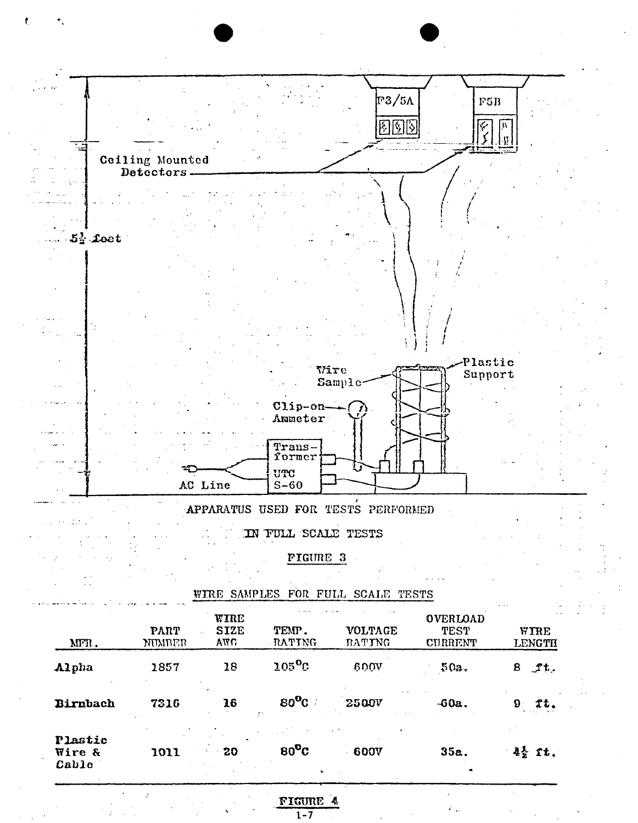

# FIGURE 4

 $80^{\circ}$ C

 $80^{\circ}$ C

**2500V** 

 $-600V$ 

 $-60a.$ 

 $35a.$ 

 $9$   $2t.$ 

 $4\frac{1}{2}$  ft.

Birnbach

Plastic

Wire &

Cable

7316

1011

16

20

 $1 - 7$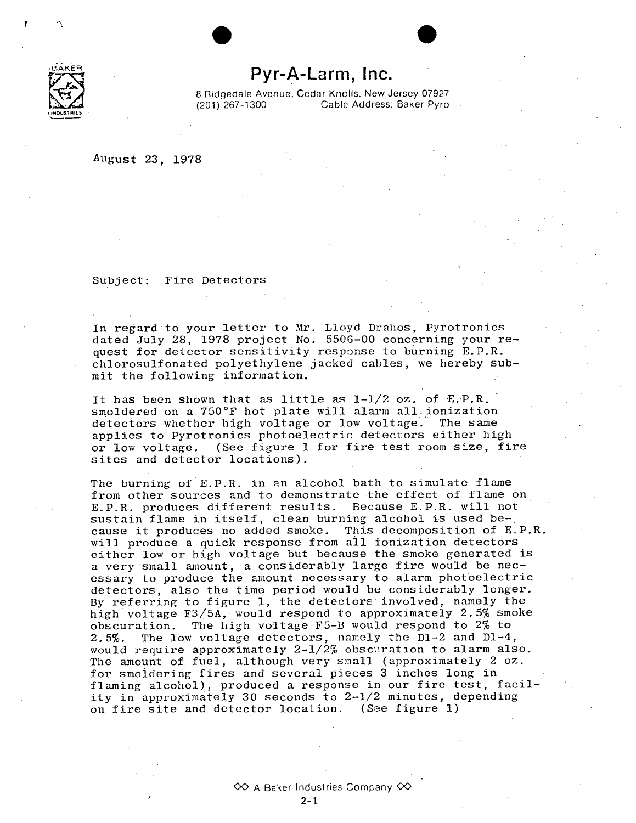

# **Pyr-A-Larm, Inc.**

e **\*0** 

**8** Ridgedale Avenue. Cedar Knolls. New Jersey **07927**  (201) **267-1300** Cable Address: Baker Pyro

August **23, 1978** 

Subject: Fire Detectors

In regard to your letter to Mr. Lloyd Drahos, Pyrotronics dated July **28, 1978** project No. **5506-00** concerning your re quest for detector sensitivity response to burning E.P.R. chlorosulfonated polyethylene jacked cables, we hereby sub mit the following information.

It has been shown that as little as 1-1/2 oz. of E.P.R. smoldered on a 750°F hot plate will alarm all.ionization detectors whether high voltage or low voltage. The same applies to Pyrotronics photoelectric detectors either high or low voltage. (See figure **1** for fire test room size, fire sites and detector locations).

The burning of E.P.R. in an alcohol bath to simulate flame from other sources and to demonstrate the effect of flame on E.P.R. produces different results. Because E.P.R. will not sustain flame in itself, clean burning alcohol is used be cause it produces no added smoke. This decomposition of E.P.R. will produce a quick response from all ionization detectors either low or high voltage but because the smoke generated is a very small amount, a considerably large fire would be nec essary to produce the amount necessary to alarm photoelectric detectors, also the time period would be considerably longer. **By** referring to figure **1,** the detectors involved, namely the high voltage **F3/5A,** would respond to approximately **2.5%** smoke obscuration. The high voltage F5-B would respond to 2% to **2.5%.** The low voltage detectors, namely the **D1-2** and D1-4, would require approximately  $2-\frac{1}{2}$  obscuration to alarm also. The amount of fuel, although very small (approximately 2 oz. for smoldering fires and several pieces **3** inches long in flaming alcohol), produced a response in our fire test, facility in approximately **30** seconds to 2-1/2 minutes, depending on fire site and detector location. (See figure **1)**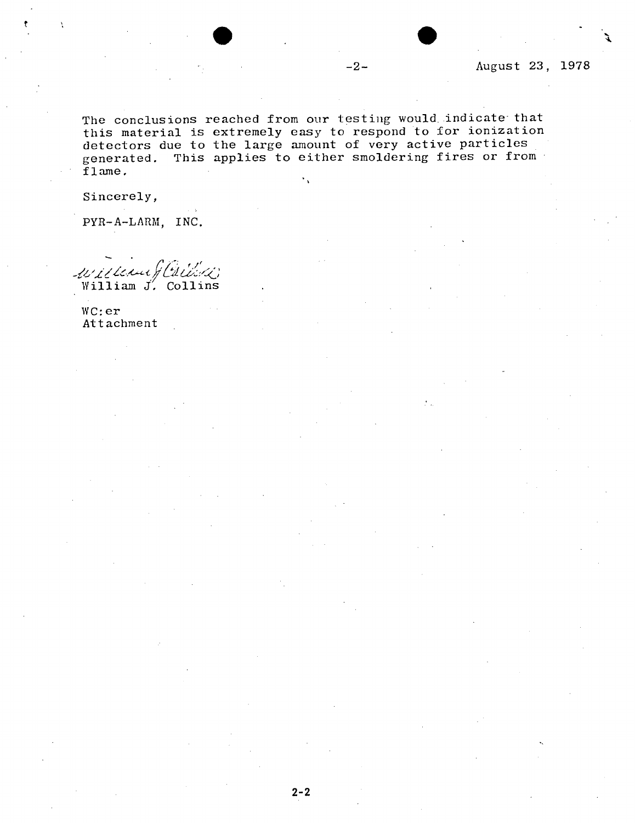The conclusions reached from our testing would indicate that this material is extremely easy to respond to for ionization detectors due to the large amount of very active particles generated. This applies to either smoldering fires or from flame.  $\mathbf{v}_\infty$ 

Sincerely,

PYR-A-LARM, **INC.** 

willer !! William J. Collins

WC:er Attachment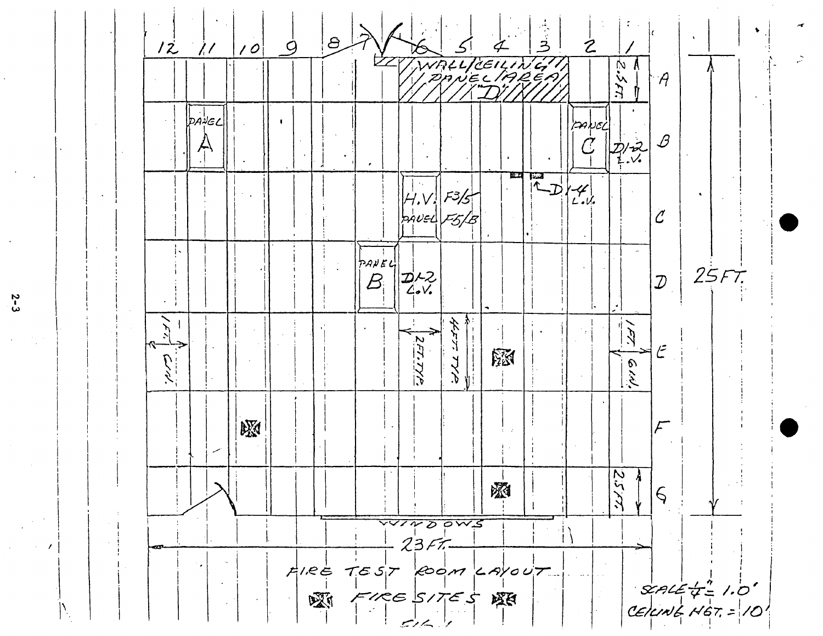

 $2-3$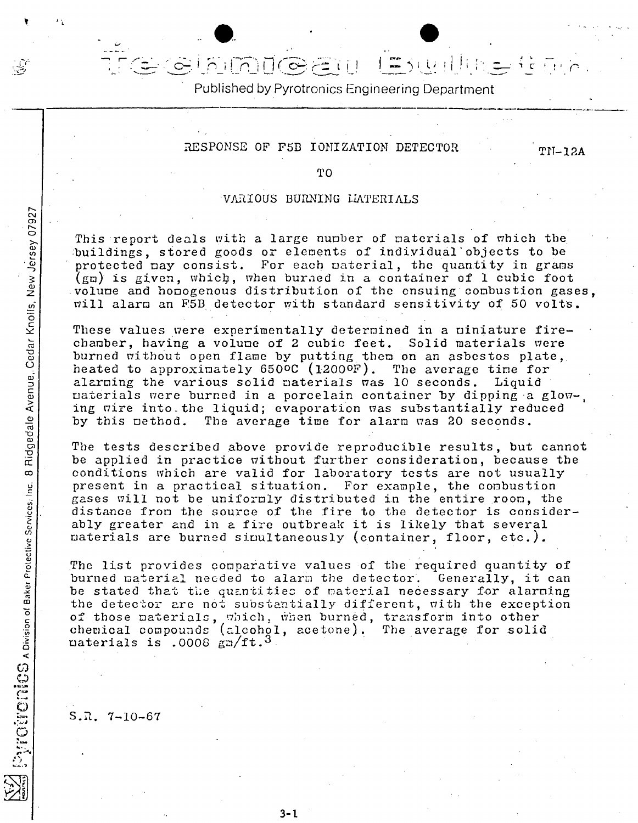# Published **by** Pyrotronics Engineering Department

**-'** - Cf17~ L **I 1.** LA

# RESPONSE OF F5B IONIZATION DETECTOR TN-12A

TO

### VARIOUS BURNING LATERIALS

This report deals with a large number of materials of which the :buildings, stored goods or elements of individual'objects to be protected may consist. For each material, the quantity in grams  $(g_m)$  is given, which, when burned in a container of 1 cubic foot volume and homogenous distribution of the ensuing combustion gases, will alarm an F5B detector with standard sensitivity of 50 volts.

These values were experimentally determined in a niniature firechamber, having a volume of 2 cubic feet. Solid materials were burned without open flame **by** putting them on an asbestos plate, o. heated to approximately **6500C** (12000F). The average time for alarming the various solid materials was **10** seconds. Liquid **CD** aterials were burned in a porcelain container **by** dipping a glow-, ing wire into the liquid; evaporation was substantially reduced<br>by this pethod. The average time for alarm was 20 seconds. The average time for alarm was 20 seconds.

The tests described above provide reproducible results, but cannot be applied in practice without further consideration, because the conditions which are valid for laboratory tests are not usually present in a practical situation. For example, the combustion gases will not be uniformly distributed in the entire room, the distance from the source of the fire to the detector is considerably greater and in a fire outbreak it is likely that several materials are burned simultaneously (container, floor, etc.).

The list provides comparative values of the required quantity of burned material necded to alarm the detector. Generally, it can be stated that the quantities of material necessary for alarning<br>the detector are not substantially different, with the exception of those materials, which, when burned, transform into other chemical compounds (alcohol, acetone). The average for solid  $\mu$  daterials is .0008  $\mu$ n/ft.<sup>3</sup>

**S.R. 7-10-67** 

 $\frac{5}{2}$ 

 $\overline{\omega}$ 

**3-1**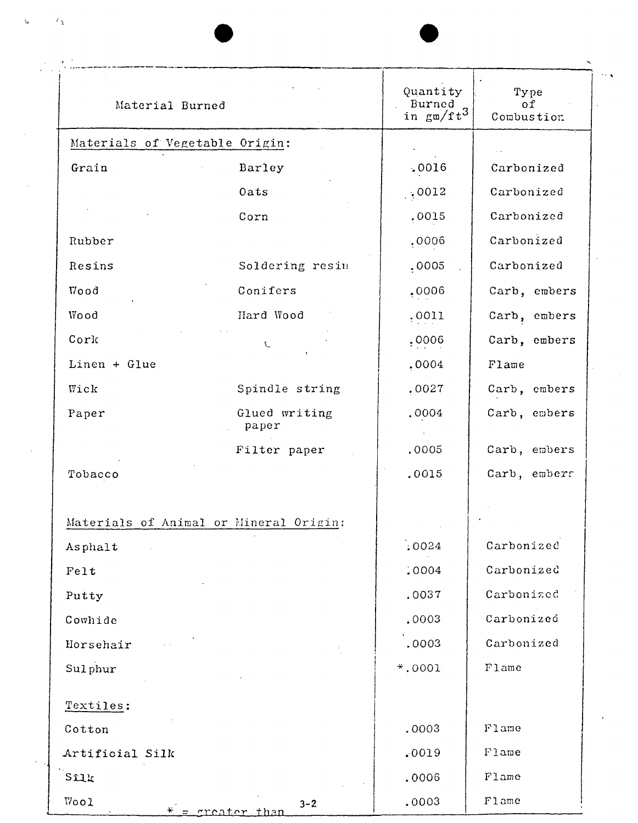| Material Burned                |                         | Quantity<br>Burned<br>$\sin \frac{\pi \pi}{2}$ $\frac{\pi \pi}{4}$ | Type<br>of<br>Combustion |
|--------------------------------|-------------------------|--------------------------------------------------------------------|--------------------------|
| Materials of Vegetable Origin: |                         |                                                                    |                          |
| Grain                          | Barley                  | .0016                                                              | Carbonized               |
|                                | Oats                    | .0012                                                              | Carbonized               |
|                                | Corn                    | ,0015                                                              | Carbonized               |
| Rubber                         |                         | .0006                                                              | Carbonized               |
| Resins                         | Soldering resin         | : 0005                                                             | Carbonized               |
| Vood                           | Conifers                | .0006                                                              | Carb, embers             |
| Wood                           | Hard Wood               | ,0011                                                              | Carb, embers             |
| Cork                           | $\mathbf C$             | .0006                                                              | Carb, embers             |
| $Linear + Glue$                |                         | .0004                                                              | Flame                    |
| Wick                           | Spindle string          | .0027                                                              | Carb, embers             |
| Paper                          | Glued writing<br>paper  | .0004                                                              | Carb, embers             |
|                                | Filter paper            | .0005                                                              | Carb, embers             |
| Tobacco                        |                         | .0015                                                              | Carb, embers             |
| Materials of Animal            | or Mineral Origin:      |                                                                    |                          |
| Asphalt                        |                         | : 0024                                                             | Carbonized               |
| Felt                           |                         | .0004                                                              | Carbonized               |
| Putty                          |                         | .0037                                                              | Carbonized               |
| Cowhide                        |                         | .0003                                                              | Carbonized               |
| Horsehair                      |                         | .0003                                                              | Carbonized               |
| Sulphur                        |                         | $*$ .0001                                                          | Flame                    |
| Textiles:                      |                         |                                                                    |                          |
| Cotton                         |                         | .0003                                                              | Flame                    |
| Artificial Silk                |                         | .0019                                                              | Flame                    |
| Silk                           |                         | .0006                                                              | Flame                    |
| Wool                           | $3 - 2$<br>greater than | .0003                                                              | Flame                    |

 $\mathcal{A}^{\mathcal{A}}$ 

 $\hat{\mathbf{W}}^{(i)}$  and  $\hat{\mathbf{V}}^{(i)}$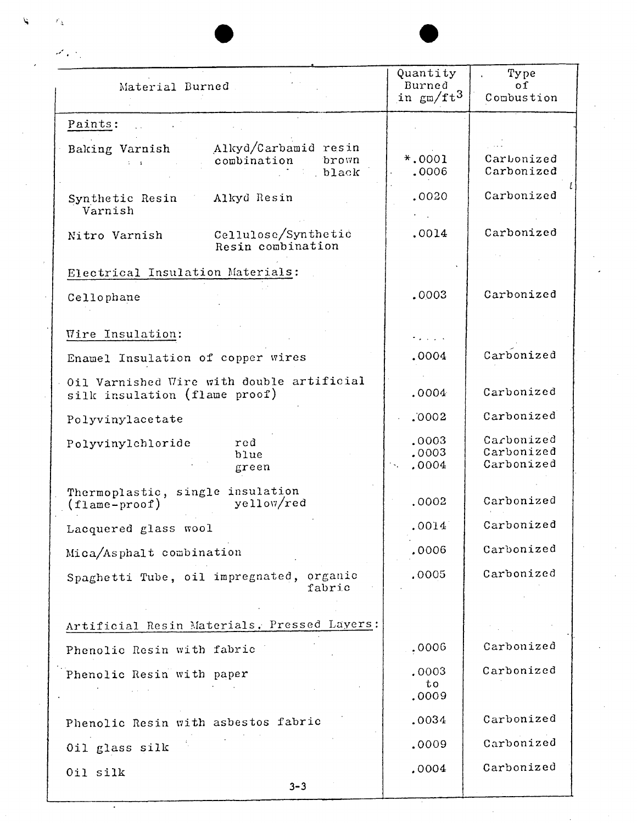| Material Burned                                                            | Quantity<br>Burned<br>in gm/ft3                             | Type<br>01<br>Combustion               |  |
|----------------------------------------------------------------------------|-------------------------------------------------------------|----------------------------------------|--|
| Paints:                                                                    |                                                             |                                        |  |
| Alkyd/Carbamid resin<br>Baking Varnish<br>combination<br>brown<br>black    | $*,0001$<br>.0006                                           | Carbonized<br>Carbonized               |  |
| Alkyd Resin<br>Synthetic Resin<br>Varnish                                  | .0020                                                       | Carbonized                             |  |
| Cellulose/Synthetic<br>Nitro Varnish<br>Resin combination                  | .0014                                                       | Carbonized                             |  |
| Electrical Insulation Materials:                                           |                                                             |                                        |  |
| Cellophane                                                                 | .0003                                                       | Carbonized                             |  |
| Wire Insulation:                                                           | $\mathcal{L}_{\text{max}}$ , and $\mathcal{L}_{\text{max}}$ |                                        |  |
| Enamel Insulation of copper wires                                          | .0004                                                       | Carbonized                             |  |
| Oil Varnished Wire with double artificial<br>silk insulation (flame proof) | .0004                                                       | Carbonized                             |  |
| Polyvinylacetate                                                           | .0002                                                       | Carbonized                             |  |
| Polyvinylchloride<br>red<br>blue<br>green                                  | .0003<br>.0003<br>.0004                                     | Carbonized<br>Carbonized<br>Carbonized |  |
| Thermoplastic, single insulation<br>yellow/red<br>$(f1ame-proof)$          | .0002                                                       | Carbonized                             |  |
| Lacquered glass wool                                                       | .0014                                                       | Carbonized                             |  |
| Mica/Asphalt combination                                                   | .0006                                                       | Carbonized                             |  |
| organic<br>Spaghetti Tube, oil impregnated,<br>fabric                      | .0005                                                       | Carbonized                             |  |
| Artificial Resin Materials, Pressed Layers:                                |                                                             |                                        |  |
| Phenolic Resin with fabric                                                 | .0006                                                       | Carbonized                             |  |
| Phenolic Resin with paper                                                  | .0003<br>to<br>.0009                                        | Carbonized                             |  |
| Phenolic Resin with asbestos fabric                                        | .0034                                                       | Carbonized                             |  |
| Oil glass silk                                                             | .0009                                                       | Carbonized                             |  |
| Oil silk                                                                   | ,0004                                                       | Carbonized                             |  |

المستوسط المحتفظ

r y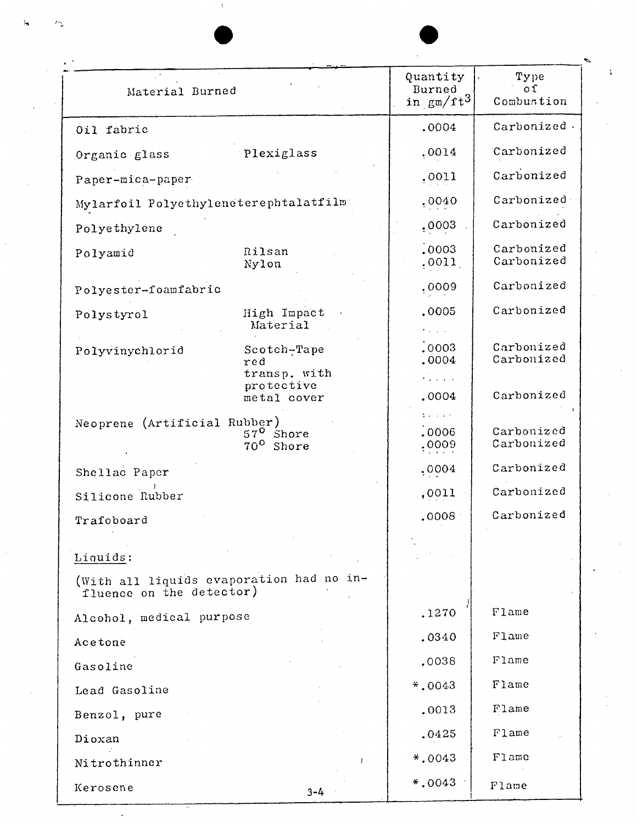| Material Burned                                                      |                                             | Quantity<br>Burned<br>in $\text{gm/ft}^3$            | Type<br>οſ<br>Combustion |
|----------------------------------------------------------------------|---------------------------------------------|------------------------------------------------------|--------------------------|
| Oil fabric                                                           |                                             | .0004                                                | Carbonized.              |
| Organic glass                                                        | Plexiglass                                  | ,0014                                                | Carbonized               |
| Paper-mica-paper                                                     |                                             | ,0011                                                | Carbonized               |
| Mylarfoil Polyethyleneterephtalatfilm                                |                                             | ,0040                                                | Carbonized               |
| Polyethylene                                                         |                                             | ,0003                                                | Carbonized               |
| Polyamid                                                             | Rilsan<br>Nylon                             | : 0003<br>,0011,                                     | Carbonized<br>Carbonized |
| Polyester-foamfabric                                                 |                                             | ,0009                                                | Carbonized               |
| Polystyrol                                                           | High Impact<br>Material                     | .0005                                                | Carbonized               |
| Polyvinychlorid                                                      | Scotch-Tape<br>red<br>transp. with          | : 0003<br>.0004                                      | Carbonized<br>Carbonized |
|                                                                      | protective<br>metal cover                   | $\mathcal{L}_{\text{max}}$<br>.0004                  | Carbonized               |
| Neoprene (Artificial Rubber)                                         | $57^{\circ}$ Shore<br>$70^{\circ}$<br>Shore | $\mathcal{O}(\mathcal{O}(\log n))$<br>.0006<br>.0009 | Carbonized<br>Carbonized |
| Shellac Paper                                                        |                                             | .0004                                                | Carbonized               |
| Silicone Rubber                                                      |                                             | ,0011                                                | Carbonized               |
| Trafoboard                                                           |                                             | 0008                                                 | Carbonized               |
| Liquids:                                                             |                                             |                                                      |                          |
| (With all liquids evaporation had no in-<br>fluence on the detector) |                                             |                                                      |                          |
| Alcohol, medical purpose                                             |                                             | .1270                                                | Flame                    |
| Acetone                                                              |                                             | .0340                                                | Flame                    |
| Gasoline                                                             |                                             | .0038                                                | Flame                    |
| Lead Gasoline                                                        |                                             | $*$ ,0043                                            | Flame                    |
| Benzol, pure                                                         |                                             | .0013                                                | Flame                    |
| Dioxan                                                               |                                             | .0425                                                | Flame                    |
| Nitrothinner                                                         | $\mathbf{I}$                                | $*,0043$                                             | Flame                    |
| Kerosene                                                             | $3 - 4$                                     | $*$ .0043                                            | Flame                    |

 $\Delta$ 

 $\epsilon$ 

 $\label{eq:2} \frac{1}{\sqrt{2}}\left(\frac{1}{\sqrt{2}}\right)^2\frac{1}{\sqrt{2}}\left(\frac{1}{\sqrt{2}}\right)^2.$ 

 $\ddot{ }$ 

 $\mathcal{P}_{\Psi}^{\dagger}$ 

 $\hat{\mathcal{A}}$